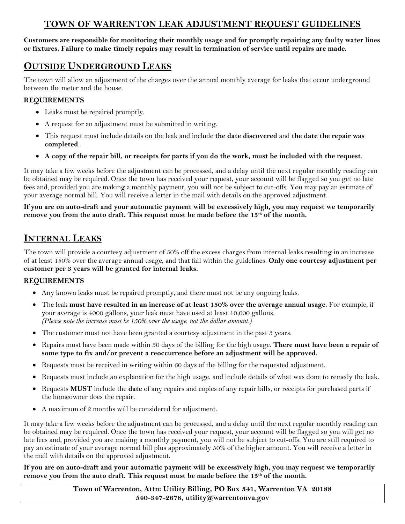# **TOWN OF WARRENTON LEAK ADJUSTMENT REQUEST GUIDELINES**

**Customers are responsible for monitoring their monthly usage and for promptly repairing any faulty water lines or fixtures. Failure to make timely repairs may result in termination of service until repairs are made.**

## **OUTSIDE UNDERGROUND LEAKS**

The town will allow an adjustment of the charges over the annual monthly average for leaks that occur underground between the meter and the house.

### **REQUIREMENTS**

- Leaks must be repaired promptly.
- A request for an adjustment must be submitted in writing.
- This request must include details on the leak and include **the date discovered** and **the date the repair was completed**.
- **A copy of the repair bill, or receipts for parts if you do the work, must be included with the request**.

It may take a few weeks before the adjustment can be processed, and a delay until the next regular monthly reading can be obtained may be required. Once the town has received your request, your account will be flagged so you get no late fees and, provided you are making a monthly payment, you will not be subject to cut-offs. You may pay an estimate of your average normal bill. You will receive a letter in the mail with details on the approved adjustment.

**If you are on auto-draft and your automatic payment will be excessively high, you may request we temporarily remove you from the auto draft. This request must be made before the 15th of the month.** 

## **INTERNAL LEAKS**

The town will provide a courtesy adjustment of 50% off the excess charges from internal leaks resulting in an increase of at least 150% over the average annual usage, and that fall within the guidelines. **Only one courtesy adjustment per customer per 3 years will be granted for internal leaks.**

### **REQUIREMENTS**

- Any known leaks must be repaired promptly, and there must not be any ongoing leaks.
- The leak **must have resulted in an increase of at least 150% over the average annual usage**. For example, if your average is 4000 gallons, your leak must have used at least 10,000 gallons. *(Please note the increase must be 150% over the usage, not the dollar amount.)*
- The customer must not have been granted a courtesy adjustment in the past 3 years.
- Repairs must have been made within 30 days of the billing for the high usage. **There must have been a repair of some type to fix and/or prevent a reoccurrence before an adjustment will be approved.**
- Requests must be received in writing within 60 days of the billing for the requested adjustment.
- Requests must include an explanation for the high usage, and include details of what was done to remedy the leak.
- Requests **MUST** include the **date** of any repairs and copies of any repair bills, or receipts for purchased parts if the homeowner does the repair.
- A maximum of 2 months will be considered for adjustment.

It may take a few weeks before the adjustment can be processed, and a delay until the next regular monthly reading can be obtained may be required. Once the town has received your request, your account will be flagged so you will get no late fees and, provided you are making a monthly payment, you will not be subject to cut-offs. You are still required to pay an estimate of your average normal bill plus approximately 50% of the higher amount. You will receive a letter in the mail with details on the approved adjustment.

#### **If you are on auto-draft and your automatic payment will be excessively high, you may request we temporarily remove you from the auto draft. This request must be made before the 15th of the month.**

**Town of Warrenton, Attn: Utility Billing, PO Box 341, Warrenton VA 20188 540-347-2678, utility@warrentonva.gov**